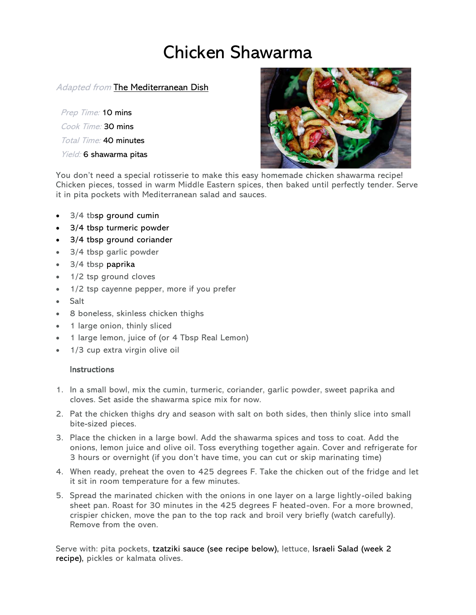# Chicken Shawarma

## **Adapted from [The Mediterranean Dish](https://www.themediterraneandish.com/about-us/)**

Prep Time: 10 mins Cook Time: 30 mins Total Time: 40 minutes Yield: 6 shawarma pitas



You don't need a special rotisserie to make this easy homemade chicken shawarma recipe! Chicken pieces, tossed in warm Middle Eastern spices, then baked until perfectly tender. Serve it in pita pockets with Mediterranean salad and sauces.

- 3/4 tbsp [ground cumin](https://www.themediterraneandish.com/product/cumin-ground-organic/)
- 3/4 tbsp [turmeric powder](https://www.themediterraneandish.com/product/turmeric-organic/)
- 3/4 tbsp [ground coriander](https://www.themediterraneandish.com/product/coriander-ground-organic/)
- 3/4 tbsp garlic powder
- 3/4 tbsp [paprika](https://www.themediterraneandish.com/product/sweet-spanish-paprika/)
- 1/2 tsp ground cloves
- 1/2 tsp cayenne pepper, more if you prefer
- Salt
- 8 boneless, skinless chicken thighs
- 1 large onion, thinly sliced
- 1 large lemon, juice of (or 4 Tbsp Real Lemon)
- 1/3 cup extra virgin olive oil

#### **Instructions**

- 1. In a small bowl, mix the cumin, turmeric, coriander, garlic powder, sweet paprika and cloves. Set aside the shawarma spice mix for now.
- 2. Pat the chicken thighs dry and season with salt on both sides, then thinly slice into small bite-sized pieces.
- 3. Place the chicken in a large bowl. Add the shawarma spices and toss to coat. Add the onions, lemon juice and olive oil. Toss everything together again. Cover and refrigerate for 3 hours or overnight (if you don't have time, you can cut or skip marinating time)
- 4. When ready, preheat the oven to 425 degrees F. Take the chicken out of the fridge and let it sit in room temperature for a few minutes.
- 5. Spread the marinated chicken with the onions in one layer on a large lightly-oiled baking sheet pan. Roast for 30 minutes in the 425 degrees F heated-oven. For a more browned, crispier chicken, move the pan to the top rack and broil very briefly (watch carefully). Remove from the oven.

Serve with: pita pockets, [tzatziki sauce](https://www.themediterraneandish.com/tzatziki-sauce-recipe/) (see recipe below), lettuce, [Israeli](https://www.themediterraneandish.com/3-ingredient-mediterranean-salad/) Salad (week 2 recipe), pickles or kalmata olives.